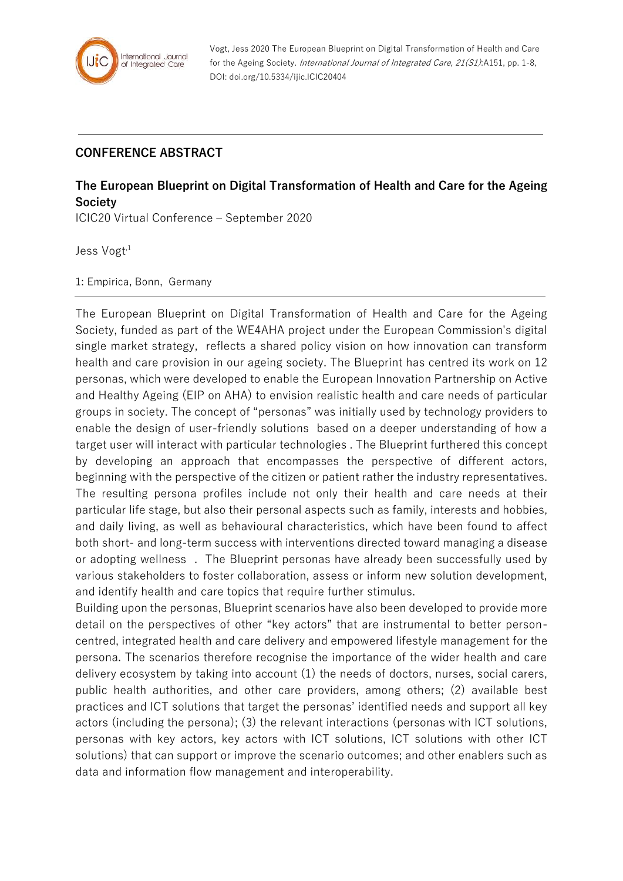

Vogt, Jess 2020 The European Blueprint on Digital Transformation of Health and Care for the Ageing Society. International Journal of Integrated Care, 21(S1):A151, pp. 1-8, DOI: doi.org/10.5334/ijic.ICIC20404

## **CONFERENCE ABSTRACT**

## **The European Blueprint on Digital Transformation of Health and Care for the Ageing Society**

ICIC20 Virtual Conference – September 2020

Jess Vogt<sup>,1</sup>

1: Empirica, Bonn, Germany

The European Blueprint on Digital Transformation of Health and Care for the Ageing Society, funded as part of the WE4AHA project under the European Commission's digital single market strategy, reflects a shared policy vision on how innovation can transform health and care provision in our ageing society. The Blueprint has centred its work on 12 personas, which were developed to enable the European Innovation Partnership on Active and Healthy Ageing (EIP on AHA) to envision realistic health and care needs of particular groups in society. The concept of "personas" was initially used by technology providers to enable the design of user-friendly solutions based on a deeper understanding of how a target user will interact with particular technologies . The Blueprint furthered this concept by developing an approach that encompasses the perspective of different actors, beginning with the perspective of the citizen or patient rather the industry representatives. The resulting persona profiles include not only their health and care needs at their particular life stage, but also their personal aspects such as family, interests and hobbies, and daily living, as well as behavioural characteristics, which have been found to affect both short- and long-term success with interventions directed toward managing a disease or adopting wellness . The Blueprint personas have already been successfully used by various stakeholders to foster collaboration, assess or inform new solution development, and identify health and care topics that require further stimulus.

Building upon the personas, Blueprint scenarios have also been developed to provide more detail on the perspectives of other "key actors" that are instrumental to better personcentred, integrated health and care delivery and empowered lifestyle management for the persona. The scenarios therefore recognise the importance of the wider health and care delivery ecosystem by taking into account (1) the needs of doctors, nurses, social carers, public health authorities, and other care providers, among others; (2) available best practices and ICT solutions that target the personas' identified needs and support all key actors (including the persona); (3) the relevant interactions (personas with ICT solutions, personas with key actors, key actors with ICT solutions, ICT solutions with other ICT solutions) that can support or improve the scenario outcomes; and other enablers such as data and information flow management and interoperability.